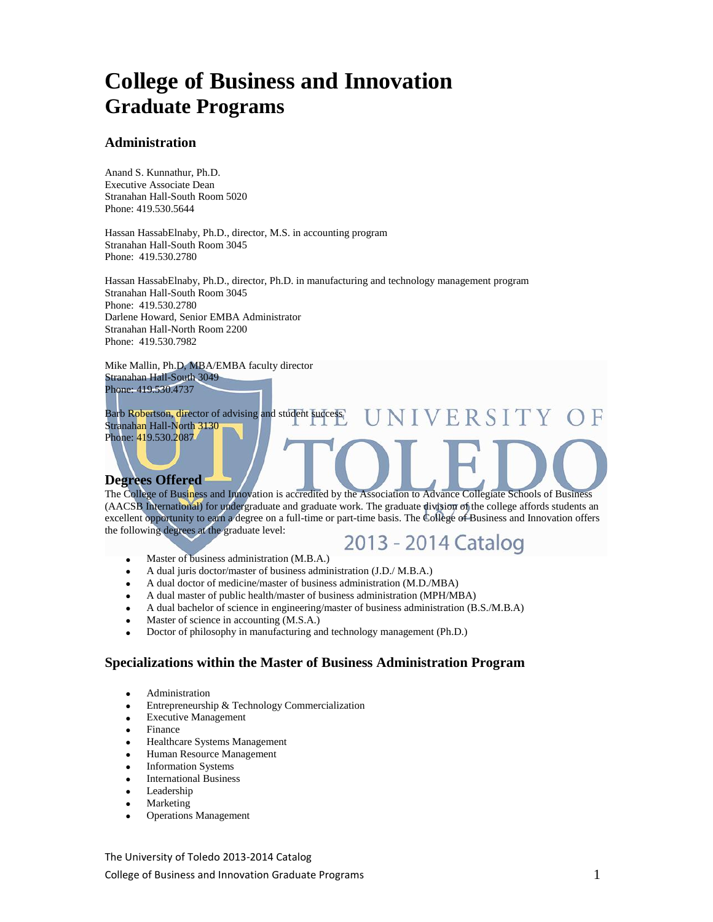# **College of Business and Innovation Graduate Programs**

#### **Administration**

Anand S. Kunnathur, Ph.D. Executive Associate Dean Stranahan Hall-South Room 5020 Phone: 419.530.5644

Hassan HassabElnaby, Ph.D., director, M.S. in accounting program Stranahan Hall-South Room 3045 Phone: 419.530.2780

Hassan HassabElnaby, Ph.D., director, Ph.D. in manufacturing and technology management program Stranahan Hall-South Room 3045 Phone: 419.530.2780 Darlene Howard, Senior EMBA Administrator Stranahan Hall-North Room 2200 Phone: 419.530.7982

Mike Mallin, Ph.D, MBA/EMBA faculty director Stranahan Hall-South 3049

Phone: 419.530.4737

Barb Robertson, director of advising and student success NIVERSITY Stranahan Hall-North 3130 Phone: 419.530.2087

#### **Degrees Offered**

The College of Business and Innovation is accredited by the Association to Advance Collegiate Schools of Business (AACSB International) for undergraduate and graduate work. The graduate division of the college affords students an excellent opportunity to earn a degree on a full-time or part-time basis. The College of Business and Innovation offers the following degrees at the graduate level:

2013 - 2014 Catalog

- Master of business administration (M.B.A.)
- A dual juris doctor/master of business administration (J.D./ M.B.A.)
- A dual doctor of medicine/master of business administration (M.D./MBA)
- A dual master of public health/master of business administration (MPH/MBA)
- A dual bachelor of science in engineering/master of business administration (B.S./M.B.A)
- Master of science in accounting (M.S.A.)
- Doctor of philosophy in manufacturing and technology management (Ph.D.)

#### **Specializations within the Master of Business Administration Program**

- Administration
- Entrepreneurship & Technology Commercialization
- Executive Management
- Finance
- Healthcare Systems Management
- Human Resource Management
- Information Systems
- International Business
- Leadership
- Marketing
- Operations Management

The University of Toledo 2013-2014 Catalog College of Business and Innovation Graduate Programs  $1$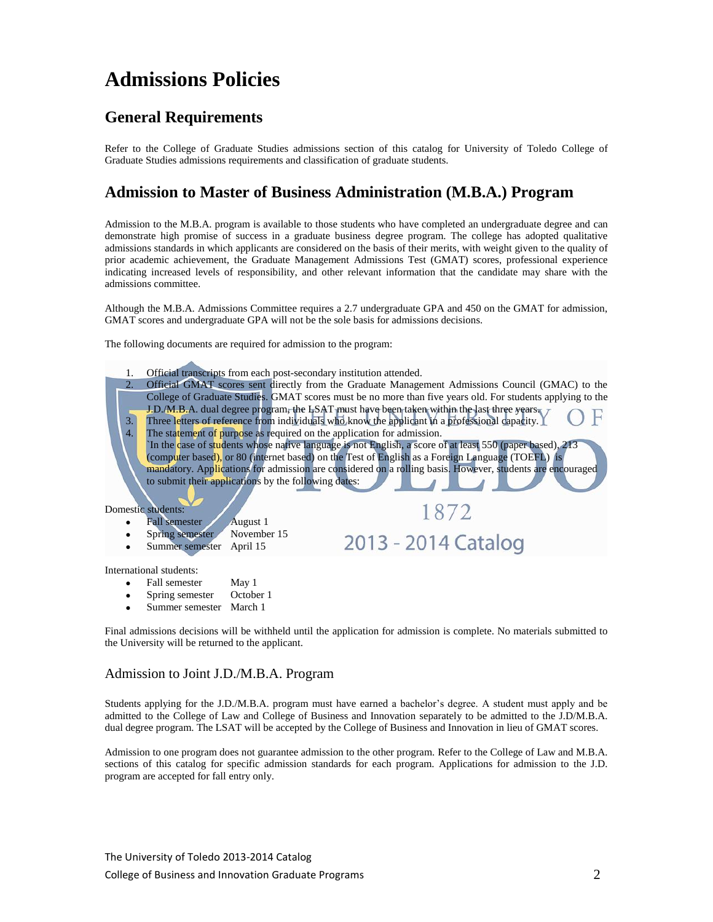# **Admissions Policies**

## **General Requirements**

Refer to the College of Graduate Studies admissions section of this catalog for University of Toledo College of Graduate Studies admissions requirements and classification of graduate students.

### **Admission to Master of Business Administration (M.B.A.) Program**

Admission to the M.B.A. program is available to those students who have completed an undergraduate degree and can demonstrate high promise of success in a graduate business degree program. The college has adopted qualitative admissions standards in which applicants are considered on the basis of their merits, with weight given to the quality of prior academic achievement, the Graduate Management Admissions Test (GMAT) scores, professional experience indicating increased levels of responsibility, and other relevant information that the candidate may share with the admissions committee.

Although the M.B.A. Admissions Committee requires a 2.7 undergraduate GPA and 450 on the GMAT for admission, GMAT scores and undergraduate GPA will not be the sole basis for admissions decisions.

The following documents are required for admission to the program:

- 1. Official transcripts from each post-secondary institution attended. 2. Official GMAT scores sent directly from the Graduate Management Admissions Council (GMAC) to the College of Graduate Studies. GMAT scores must be no more than five years old. For students applying to the J.D./M.B.A. dual degree program, the LSAT must have been taken within the last three years. 3. Three letters of reference from individuals who know the applicant in a professional capacity. 4. The statement of purpose as required on the application for admission. `In the case of students whose native language is not English, a score of at least 550 (paper based), 213 (computer based), or 80 (internet based) on the Test of English as a Foreign Language (TOEFL) is mandatory. Applications for admission are considered on a rolling basis. However, students are encouraged to submit their applications by the following dates: Domestic students: 1872 Fall semester August 1 Spring semester November 15 2013 - 2014 Catalog Summer semester April 15 International students:
	-
	- Fall semester May 1<br>Spring semester October 1 Spring semester
	- Summer semester March 1

Final admissions decisions will be withheld until the application for admission is complete. No materials submitted to the University will be returned to the applicant.

#### Admission to Joint J.D./M.B.A. Program

Students applying for the J.D./M.B.A. program must have earned a bachelor's degree. A student must apply and be admitted to the College of Law and College of Business and Innovation separately to be admitted to the J.D/M.B.A. dual degree program. The LSAT will be accepted by the College of Business and Innovation in lieu of GMAT scores.

Admission to one program does not guarantee admission to the other program. Refer to the College of Law and M.B.A. sections of this catalog for specific admission standards for each program. Applications for admission to the J.D. program are accepted for fall entry only.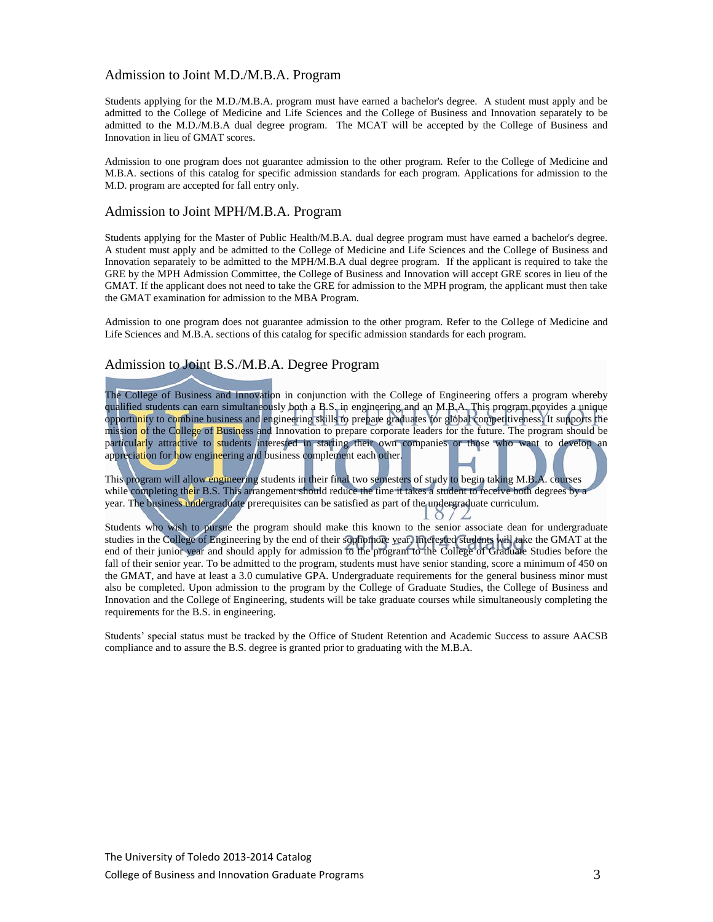#### Admission to Joint M.D./M.B.A. Program

Students applying for the M.D./M.B.A. program must have earned a bachelor's degree. A student must apply and be admitted to the College of Medicine and Life Sciences and the College of Business and Innovation separately to be admitted to the M.D./M.B.A dual degree program. The MCAT will be accepted by the College of Business and Innovation in lieu of GMAT scores.

Admission to one program does not guarantee admission to the other program. Refer to the College of Medicine and M.B.A. sections of this catalog for specific admission standards for each program. Applications for admission to the M.D. program are accepted for fall entry only.

#### Admission to Joint MPH/M.B.A. Program

Students applying for the Master of Public Health/M.B.A. dual degree program must have earned a bachelor's degree. A student must apply and be admitted to the College of Medicine and Life Sciences and the College of Business and Innovation separately to be admitted to the MPH/M.B.A dual degree program. If the applicant is required to take the GRE by the MPH Admission Committee, the College of Business and Innovation will accept GRE scores in lieu of the GMAT. If the applicant does not need to take the GRE for admission to the MPH program, the applicant must then take the GMAT examination for admission to the MBA Program.

Admission to one program does not guarantee admission to the other program. Refer to the College of Medicine and Life Sciences and M.B.A. sections of this catalog for specific admission standards for each program.

#### Admission to Joint B.S./M.B.A. Degree Program

The College of Business and Innovation in conjunction with the College of Engineering offers a program whereby qualified students can earn simultaneously both a B.S. in engineering and an M.B.A. This program provides a unique opportunity to combine business and engineering skills to prepare graduates for global competitiveness. It supports the mission of the College of Business and Innovation to prepare corporate leaders for the future. The program should be particularly attractive to students interested in starting their own companies or those who want to develop an appreciation for how engineering and business complement each other.

This program will allow engineering students in their final two semesters of study to begin taking M.B.A. courses while completing their B.S. This arrangement should reduce the time it takes a student to receive both degrees by a year. The business undergraduate prerequisites can be satisfied as part of the undergraduate curriculum.

Students who wish to pursue the program should make this known to the senior associate dean for undergraduate studies in the College of Engineering by the end of their sophomore year. Interested students will take the GMAT at the end of their junior year and should apply for admission to the program to the College of Graduate Studies before the fall of their senior year. To be admitted to the program, students must have senior standing, score a minimum of 450 on the GMAT, and have at least a 3.0 cumulative GPA. Undergraduate requirements for the general business minor must also be completed. Upon admission to the program by the College of Graduate Studies, the College of Business and Innovation and the College of Engineering, students will be take graduate courses while simultaneously completing the requirements for the B.S. in engineering.

 $\circ$ 

Students' special status must be tracked by the Office of Student Retention and Academic Success to assure AACSB compliance and to assure the B.S. degree is granted prior to graduating with the M.B.A.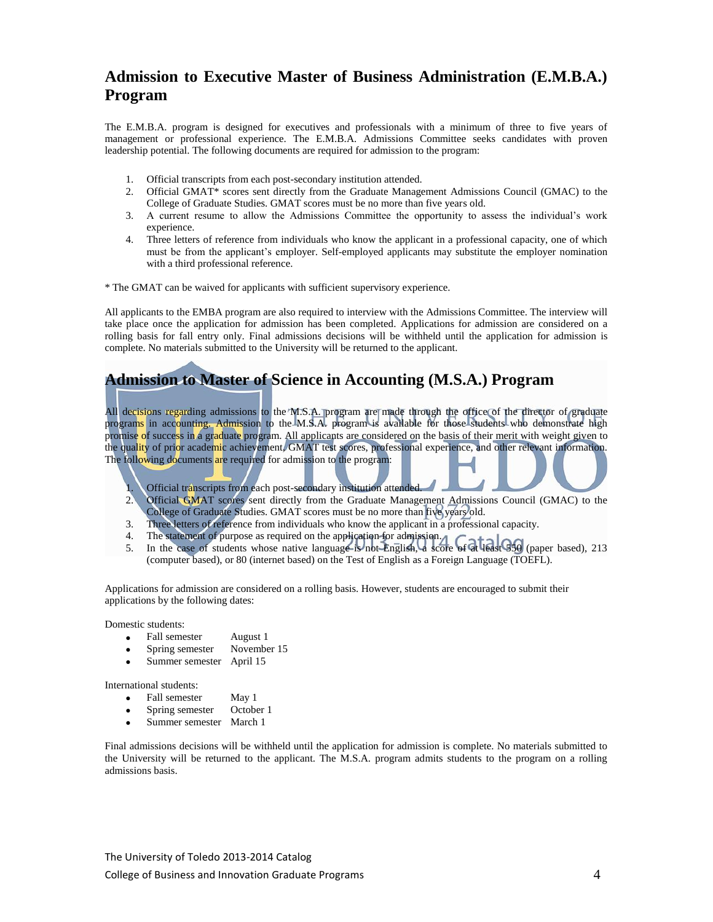## **Admission to Executive Master of Business Administration (E.M.B.A.) Program**

The E.M.B.A. program is designed for executives and professionals with a minimum of three to five years of management or professional experience. The E.M.B.A. Admissions Committee seeks candidates with proven leadership potential. The following documents are required for admission to the program:

- 1. Official transcripts from each post-secondary institution attended.
- 2. Official GMAT\* scores sent directly from the Graduate Management Admissions Council (GMAC) to the College of Graduate Studies. GMAT scores must be no more than five years old.
- 3. A current resume to allow the Admissions Committee the opportunity to assess the individual's work experience.
- 4. Three letters of reference from individuals who know the applicant in a professional capacity, one of which must be from the applicant's employer. Self-employed applicants may substitute the employer nomination with a third professional reference.

\* The GMAT can be waived for applicants with sufficient supervisory experience.

All applicants to the EMBA program are also required to interview with the Admissions Committee. The interview will take place once the application for admission has been completed. Applications for admission are considered on a rolling basis for fall entry only. Final admissions decisions will be withheld until the application for admission is complete. No materials submitted to the University will be returned to the applicant.

# **Admission to Master of Science in Accounting (M.S.A.) Program**

All decisions regarding admissions to the M.S.A. program are made through the office of the director of graduate programs in accounting. Admission to the M.S.A. program is available for those students who demonstrate high promise of success in a graduate program. All applicants are considered on the basis of their merit with weight given to the quality of prior academic achievement, GMAT test scores, professional experience, and other relevant information. The following documents are required for admission to the program:

- 1. Official transcripts from each post-secondary institution attended.
- 2. Official GMAT scores sent directly from the Graduate Management Admissions Council (GMAC) to the College of Graduate Studies. GMAT scores must be no more than five years old.
- 3. Three letters of reference from individuals who know the applicant in a professional capacity.
- 4. The statement of purpose as required on the application for admission.
- 5. In the case of students whose native language is not English, a score of at least 550 (paper based), 213 (computer based), or 80 (internet based) on the Test of English as a Foreign Language (TOEFL).

Applications for admission are considered on a rolling basis. However, students are encouraged to submit their applications by the following dates:

Domestic students:

- 
- Fall semester August 1<br>Spring semester November 15 Spring semester
- Summer semester April 15

International students:

- Fall semester May 1<br>Spring semester October 1
- Spring semester
- Summer semester March 1

Final admissions decisions will be withheld until the application for admission is complete. No materials submitted to the University will be returned to the applicant. The M.S.A. program admits students to the program on a rolling admissions basis.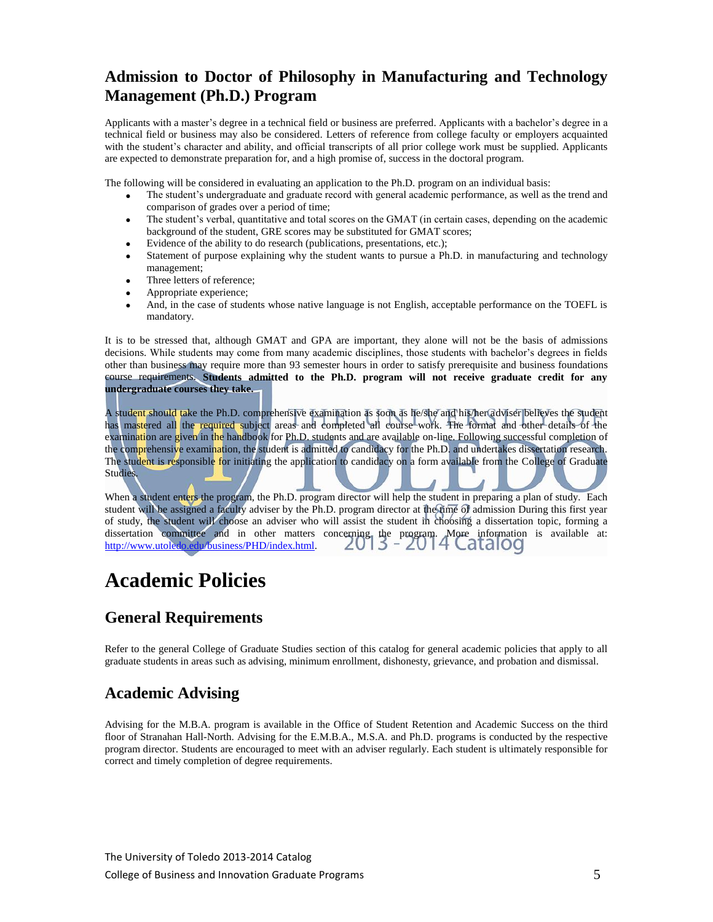# **Admission to Doctor of Philosophy in Manufacturing and Technology Management (Ph.D.) Program**

Applicants with a master's degree in a technical field or business are preferred. Applicants with a bachelor's degree in a technical field or business may also be considered. Letters of reference from college faculty or employers acquainted with the student's character and ability, and official transcripts of all prior college work must be supplied. Applicants are expected to demonstrate preparation for, and a high promise of, success in the doctoral program.

The following will be considered in evaluating an application to the Ph.D. program on an individual basis:

- The student's undergraduate and graduate record with general academic performance, as well as the trend and comparison of grades over a period of time;
- The student's verbal, quantitative and total scores on the GMAT (in certain cases, depending on the academic background of the student, GRE scores may be substituted for GMAT scores;
- Evidence of the ability to do research (publications, presentations, etc.);
- Statement of purpose explaining why the student wants to pursue a Ph.D. in manufacturing and technology management;
- Three letters of reference:
- Appropriate experience;
- And, in the case of students whose native language is not English, acceptable performance on the TOEFL is mandatory.

It is to be stressed that, although GMAT and GPA are important, they alone will not be the basis of admissions decisions. While students may come from many academic disciplines, those students with bachelor's degrees in fields other than business may require more than 93 semester hours in order to satisfy prerequisite and business foundations course requirements. **Students admitted to the Ph.D. program will not receive graduate credit for any undergraduate courses they take.**

A student should take the Ph.D. comprehensive examination as soon as he/she and his/her adviser believes the student has mastered all the required subject areas and completed all course work. The format and other details of the examination are given in the handbook for Ph.D. students and are available on-line. Following successful completion of the comprehensive examination, the student is admitted to candidacy for the Ph.D. and undertakes dissertation research. The student is responsible for initiating the application to candidacy on a form available from the College of Graduate Studies.

When a student enters the program, the Ph.D. program director will help the student in preparing a plan of study. Each student will be assigned a faculty adviser by the Ph.D. program director at the time of admission During this first year of study, the student will choose an adviser who will assist the student in choosing a dissertation topic, forming a dissertation committee and in other matters concerning the program. More information is available at: [http://www.utoledo.edu/business/PHD/index.html.](http://www.utoledo.edu/business/PHD/index.html)

# **Academic Policies**

### **General Requirements**

Refer to the general College of Graduate Studies section of this catalog for general academic policies that apply to all graduate students in areas such as advising, minimum enrollment, dishonesty, grievance, and probation and dismissal.

## **Academic Advising**

Advising for the M.B.A. program is available in the Office of Student Retention and Academic Success on the third floor of Stranahan Hall-North. Advising for the E.M.B.A., M.S.A. and Ph.D. programs is conducted by the respective program director. Students are encouraged to meet with an adviser regularly. Each student is ultimately responsible for correct and timely completion of degree requirements.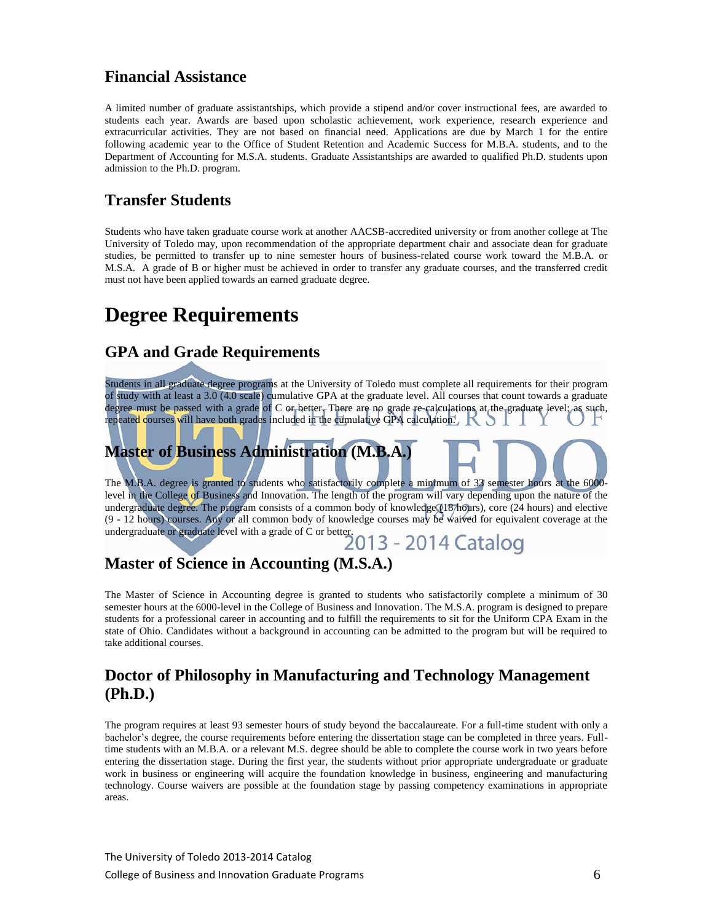### **Financial Assistance**

A limited number of graduate assistantships, which provide a stipend and/or cover instructional fees, are awarded to students each year. Awards are based upon scholastic achievement, work experience, research experience and extracurricular activities. They are not based on financial need. Applications are due by March 1 for the entire following academic year to the Office of Student Retention and Academic Success for M.B.A. students, and to the Department of Accounting for M.S.A. students. Graduate Assistantships are awarded to qualified Ph.D. students upon admission to the Ph.D. program.

# **Transfer Students**

Students who have taken graduate course work at another AACSB-accredited university or from another college at The University of Toledo may, upon recommendation of the appropriate department chair and associate dean for graduate studies, be permitted to transfer up to nine semester hours of business-related course work toward the M.B.A. or M.S.A. A grade of B or higher must be achieved in order to transfer any graduate courses, and the transferred credit must not have been applied towards an earned graduate degree.

# **Degree Requirements**

### **GPA and Grade Requirements**

Students in all graduate degree programs at the University of Toledo must complete all requirements for their program of study with at least a 3.0 (4.0 scale) cumulative GPA at the graduate level. All courses that count towards a graduate degree must be passed with a grade of C or better. There are no grade re-calculations at the graduate level; as such, repeated courses will have both grades included in the cumulative GPA calculation.  $\mathbb K \supset$ 

# **Master of Business Administration (M.B.A.)**

The M.B.A. degree is granted to students who satisfactorily complete a minimum of 33 semester hours at the 6000 level in the College of Business and Innovation. The length of the program will vary depending upon the nature of the undergraduate degree. The program consists of a common body of knowledge (18/hours), core (24 hours) and elective (9 - 12 hours) courses. Any or all common body of knowledge courses may be waived for equivalent coverage at the (9 - 12 hours) courses. Any or an common set of C or better.<br>undergraduate or graduate level with a grade of C or better.<br> $2013 - 2014$  Catalog

# **Master of Science in Accounting (M.S.A.)**

The Master of Science in Accounting degree is granted to students who satisfactorily complete a minimum of 30 semester hours at the 6000-level in the College of Business and Innovation. The M.S.A. program is designed to prepare students for a professional career in accounting and to fulfill the requirements to sit for the Uniform CPA Exam in the state of Ohio. Candidates without a background in accounting can be admitted to the program but will be required to take additional courses.

# **Doctor of Philosophy in Manufacturing and Technology Management (Ph.D.)**

The program requires at least 93 semester hours of study beyond the baccalaureate. For a full-time student with only a bachelor's degree, the course requirements before entering the dissertation stage can be completed in three years. Fulltime students with an M.B.A. or a relevant M.S. degree should be able to complete the course work in two years before entering the dissertation stage. During the first year, the students without prior appropriate undergraduate or graduate work in business or engineering will acquire the foundation knowledge in business, engineering and manufacturing technology. Course waivers are possible at the foundation stage by passing competency examinations in appropriate areas.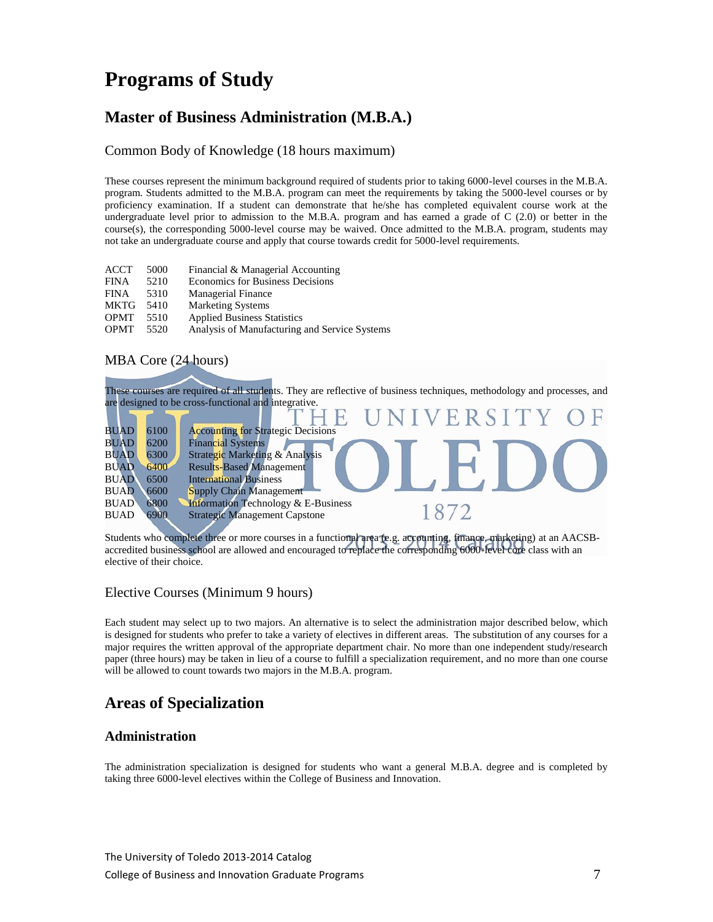# **Programs of Study**

## **Master of Business Administration (M.B.A.)**

#### Common Body of Knowledge (18 hours maximum)

These courses represent the minimum background required of students prior to taking 6000-level courses in the M.B.A. program. Students admitted to the M.B.A. program can meet the requirements by taking the 5000-level courses or by proficiency examination. If a student can demonstrate that he/she has completed equivalent course work at the undergraduate level prior to admission to the M.B.A. program and has earned a grade of C (2.0) or better in the course(s), the corresponding 5000-level course may be waived. Once admitted to the M.B.A. program, students may not take an undergraduate course and apply that course towards credit for 5000-level requirements.

| <b>ACCT</b> | 5000 | Financial & Managerial Accounting             |
|-------------|------|-----------------------------------------------|
| <b>FINA</b> | 5210 | <b>Economics for Business Decisions</b>       |
| <b>FINA</b> | 5310 | <b>Managerial Finance</b>                     |
| <b>MKTG</b> | 5410 | <b>Marketing Systems</b>                      |
| <b>OPMT</b> | 5510 | <b>Applied Business Statistics</b>            |
| <b>OPMT</b> | 5520 | Analysis of Manufacturing and Service Systems |

### MBA Core (24 hours)



Students who complete three or more courses in a functional area (e.g. accounting, finance, marketing) at an AACSBaccredited business school are allowed and encouraged to replace the corresponding 6000-level core class with an elective of their choice.

### Elective Courses (Minimum 9 hours)

Each student may select up to two majors. An alternative is to select the administration major described below, which is designed for students who prefer to take a variety of electives in different areas. The substitution of any courses for a major requires the written approval of the appropriate department chair. No more than one independent study/research paper (three hours) may be taken in lieu of a course to fulfill a specialization requirement, and no more than one course will be allowed to count towards two majors in the M.B.A. program.

# **Areas of Specialization**

### **Administration**

The administration specialization is designed for students who want a general M.B.A. degree and is completed by taking three 6000-level electives within the College of Business and Innovation.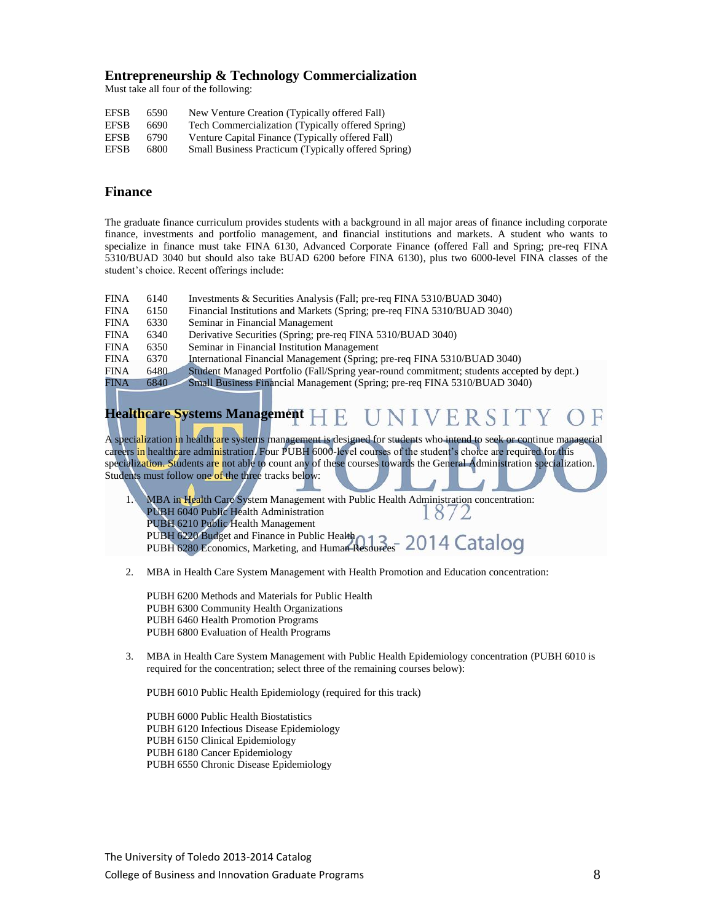#### **Entrepreneurship & Technology Commercialization**

Must take all four of the following:

| EFSB        | 6590 | New Venture Creation (Typically offered Fall)       |
|-------------|------|-----------------------------------------------------|
| <b>EFSB</b> | 6690 | Tech Commercialization (Typically offered Spring)   |
| <b>EFSB</b> | 6790 | Venture Capital Finance (Typically offered Fall)    |
| <b>EFSB</b> | 6800 | Small Business Practicum (Typically offered Spring) |

#### **Finance**

The graduate finance curriculum provides students with a background in all major areas of finance including corporate finance, investments and portfolio management, and financial institutions and markets. A student who wants to specialize in finance must take FINA 6130, Advanced Corporate Finance (offered Fall and Spring; pre-req FINA 5310/BUAD 3040 but should also take BUAD 6200 before FINA 6130), plus two 6000-level FINA classes of the student's choice. Recent offerings include:

- FINA 6140 Investments & Securities Analysis (Fall; pre-req FINA 5310/BUAD 3040)
- FINA 6150 Financial Institutions and Markets (Spring; pre-req FINA 5310/BUAD 3040)
- FINA 6330 Seminar in Financial Management
- FINA 6340 Derivative Securities (Spring; pre-req FINA 5310/BUAD 3040)
- FINA 6350 Seminar in Financial Institution Management
- FINA 6370 International Financial Management (Spring; pre-req FINA 5310/BUAD 3040)

FINA 6480 Student Managed Portfolio (Fall/Spring year-round commitment; students accepted by dept.)<br>FINA 6840 Small Business Financial Management (Spring; pre-req FINA 5310/BUAD 3040)

FINA 6840 Small Business Financial Management (Spring; pre-req FINA 5310/BUAD 3040)

#### **Healthcare Systems Management** VERSIT

A specialization in healthcare systems management is designed for students who intend to seek or continue managerial careers in healthcare administration. Four PUBH 6000-level courses of the student's choice are required for this specialization. Students are not able to count any of these courses towards the General Administration specialization. Students must follow one of the three tracks below:

1. MBA in Health Care System Management with Public Health Administration concentration: PUBH 6040 Public Health Administration 18/2 PUBH 6210 Public Health Management PUBH 6220 Budget and Finance in Public Health PUBH 6280 Economics, Marketing, and Human Resources

2. MBA in Health Care System Management with Health Promotion and Education concentration:

PUBH 6200 Methods and Materials for Public Health PUBH 6300 Community Health Organizations PUBH 6460 Health Promotion Programs PUBH 6800 Evaluation of Health Programs

3. MBA in Health Care System Management with Public Health Epidemiology concentration (PUBH 6010 is required for the concentration; select three of the remaining courses below):

PUBH 6010 Public Health Epidemiology (required for this track)

PUBH 6000 Public Health Biostatistics PUBH 6120 Infectious Disease Epidemiology PUBH 6150 Clinical Epidemiology PUBH 6180 Cancer Epidemiology PUBH 6550 Chronic Disease Epidemiology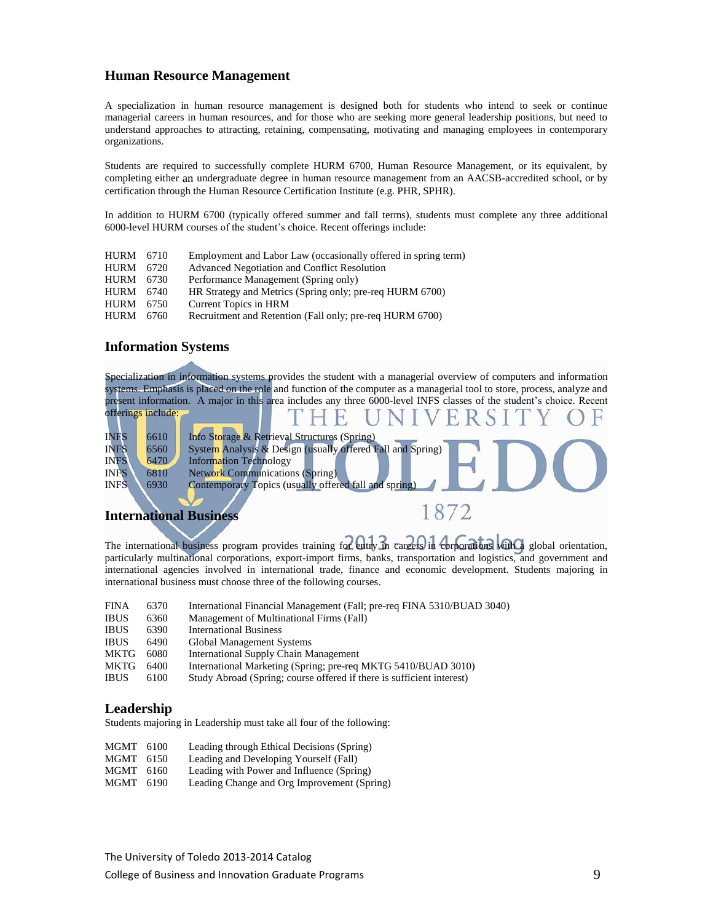#### **Human Resource Management**

A specialization in human resource management is designed both for students who intend to seek or continue managerial careers in human resources, and for those who are seeking more general leadership positions, but need to understand approaches to attracting, retaining, compensating, motivating and managing employees in contemporary organizations.

Students are required to successfully complete HURM 6700, Human Resource Management, or its equivalent, by completing either an undergraduate degree in human resource management from an AACSB-accredited school, or by certification through the Human Resource Certification Institute (e.g. PHR, SPHR).

In addition to HURM 6700 (typically offered summer and fall terms), students must complete any three additional 6000-level HURM courses of the student's choice. Recent offerings include:

| <b>HURM</b> 6710    | Employment and Labor Law (occasionally offered in spring term) |
|---------------------|----------------------------------------------------------------|
| 6720                | Advanced Negotiation and Conflict Resolution                   |
| HURM 6730           | Performance Management (Spring only)                           |
| HURM 6740           | HR Strategy and Metrics (Spring only; pre-req HURM 6700)       |
| <b>HURM</b><br>6750 | Current Topics in HRM                                          |
| 6760.               | Recruitment and Retention (Fall only; pre-req HURM 6700)       |
|                     |                                                                |

#### **Information Systems**

Specialization in information systems provides the student with a managerial overview of computers and information systems. Emphasis is placed on the role and function of the computer as a managerial tool to store, process, analyze and present information. A major in this area includes any three 6000-level INFS classes of the student's choice. Recent

|             | offerings include: |                                                            |
|-------------|--------------------|------------------------------------------------------------|
| INFS        | 6610               | Info Storage & Retrieval Structures (Spring)               |
| <b>INFS</b> | 6560               | System Analysis & Design (usually offered Fall and Spring) |
| <b>INFS</b> | 6470               | <b>Information Technology</b>                              |
| <b>INFS</b> | 6810               | <b>Network Communications (Spring)</b>                     |
| <b>INFS</b> | 6930               | Contemporary Topics (usually offered fall and spring)      |
|             |                    |                                                            |
|             |                    | International Rusiness                                     |

### **International Business**

The international business program provides training for entry in careers in corporations with a global orientation, particularly multinational corporations, export-import firms, banks, transportation and logistics, and government and international agencies involved in international trade, finance and economic development. Students majoring in international business must choose three of the following courses.

| <b>FINA</b> | 6370 | International Financial Management (Fall; pre-req FINA 5310/BUAD 3040) |
|-------------|------|------------------------------------------------------------------------|
| <b>IBUS</b> | 6360 | Management of Multinational Firms (Fall)                               |
| <b>IBUS</b> | 6390 | <b>International Business</b>                                          |
| <b>IBUS</b> | 6490 | Global Management Systems                                              |
| MKTG        | 6080 | International Supply Chain Management                                  |
| MKTG        | 6400 | International Marketing (Spring; pre-req MKTG 5410/BUAD 3010)          |
| <b>IBUS</b> | 6100 | Study Abroad (Spring; course offered if there is sufficient interest)  |

#### **Leadership**

Students majoring in Leadership must take all four of the following:

- MGMT 6100 Leading through Ethical Decisions (Spring)
- MGMT 6150 Leading and Developing Yourself (Fall)
- MGMT 6160 Leading with Power and Influence (Spring)
- MGMT 6190 Leading Change and Org Improvement (Spring)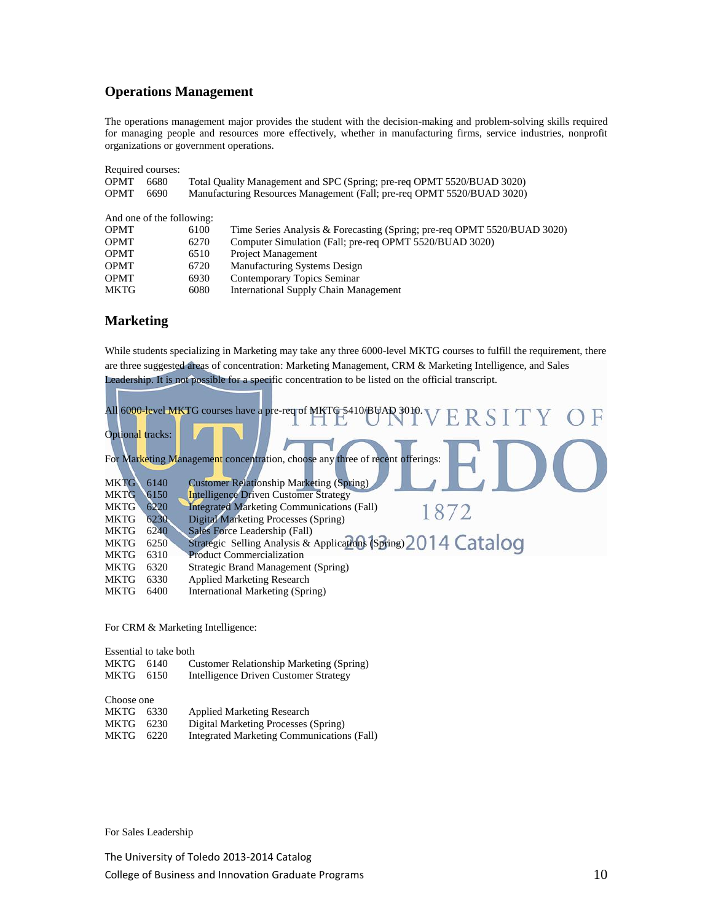### **Operations Management**

The operations management major provides the student with the decision-making and problem-solving skills required for managing people and resources more effectively, whether in manufacturing firms, service industries, nonprofit organizations or government operations.

| Required courses: |                           |                                                                        |                                                                          |  |
|-------------------|---------------------------|------------------------------------------------------------------------|--------------------------------------------------------------------------|--|
| <b>OPMT</b>       | 6680                      | Total Quality Management and SPC (Spring; pre-req OPMT 5520/BUAD 3020) |                                                                          |  |
| <b>OPMT</b>       | 6690                      | Manufacturing Resources Management (Fall; pre-req OPMT 5520/BUAD 3020) |                                                                          |  |
|                   |                           |                                                                        |                                                                          |  |
|                   | And one of the following: |                                                                        |                                                                          |  |
| <b>OPMT</b>       |                           | 6100                                                                   | Time Series Analysis & Forecasting (Spring; pre-req OPMT 5520/BUAD 3020) |  |
| <b>OPMT</b>       |                           | 6270                                                                   | Computer Simulation (Fall; pre-req OPMT 5520/BUAD 3020)                  |  |
| <b>OPMT</b>       |                           | 6510                                                                   | <b>Project Management</b>                                                |  |
| <b>OPMT</b>       |                           | 6720                                                                   | Manufacturing Systems Design                                             |  |
| <b>OPMT</b>       |                           | 6930                                                                   | Contemporary Topics Seminar                                              |  |
| MKTG              |                           | 6080                                                                   | International Supply Chain Management                                    |  |

### **Marketing**

While students specializing in Marketing may take any three 6000-level MKTG courses to fulfill the requirement, there are three suggested areas of concentration: Marketing Management, CRM & Marketing Intelligence, and Sales Leadership. It is not possible for a specific concentration to be listed on the official transcript.

|                         |       | All 6000-level MKTG courses have a pre-req of MKTG 5410/BUAD 3010 V E R S I T Y O F |
|-------------------------|-------|-------------------------------------------------------------------------------------|
|                         |       |                                                                                     |
| <b>Optional tracks:</b> |       |                                                                                     |
|                         |       |                                                                                     |
|                         |       | For Marketing Management concentration, choose any three of recent offerings:       |
| <b>MKTG</b>             | 6140  |                                                                                     |
|                         |       | <b>Customer Relationship Marketing (Spring)</b>                                     |
| <b>MKTG</b>             | 6150  | <b>Intelligence Driven Customer Strategy</b>                                        |
| <b>MKTG</b>             | 6220  | <b>Integrated Marketing Communications (Fall)</b><br>1872                           |
| <b>MKTG</b>             | 6230. | Digital Marketing Processes (Spring)                                                |
| <b>MKTG</b>             | 6240  | Sales Force Leadership (Fall)                                                       |
| <b>MKTG</b>             | 6250  | Strategic Selling Analysis & Applications (Spring) 2014 Catalog                     |
| <b>MKTG</b>             | 6310  | <b>Product Commercialization</b>                                                    |
| <b>MKTG</b>             | 6320  | Strategic Brand Management (Spring)                                                 |
| MKTG                    | 6330  | <b>Applied Marketing Research</b>                                                   |
| MKTG                    | 6400  | <b>International Marketing (Spring)</b>                                             |

For CRM & Marketing Intelligence:

Essential to take both

| MKTG 6140 | Customer Relationship Marketing (Spring) |
|-----------|------------------------------------------|
| MKTG 6150 | Intelligence Driven Customer Strategy    |

Choose one

| .         |      |                                            |
|-----------|------|--------------------------------------------|
| MKTG 6330 |      | <b>Applied Marketing Research</b>          |
| MKTG      | 6230 | Digital Marketing Processes (Spring)       |
| MKTG      | 6220 | Integrated Marketing Communications (Fall) |

For Sales Leadership

The University of Toledo 2013-2014 Catalog College of Business and Innovation Graduate Programs  $10$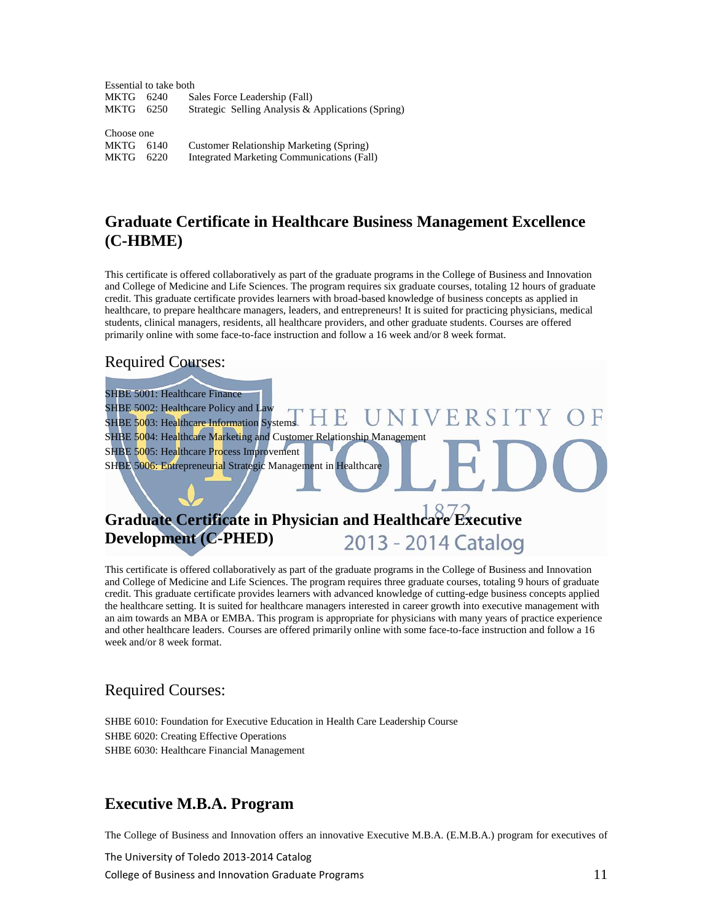Essential to take both MKTG 6240 Sales Force Leadership (Fall)<br>MKTG 6250 Strategic Selling Analysis & Strategic Selling Analysis & Applications (Spring) Choose one MKTG 6140 Customer Relationship Marketing (Spring)

MKTG 6220 Integrated Marketing Communications (Fall)

## **Graduate Certificate in Healthcare Business Management Excellence (C-HBME)**

This certificate is offered collaboratively as part of the graduate programs in the College of Business and Innovation and College of Medicine and Life Sciences. The program requires six graduate courses, totaling 12 hours of graduate credit. This graduate certificate provides learners with broad-based knowledge of business concepts as applied in healthcare, to prepare healthcare managers, leaders, and entrepreneurs! It is suited for practicing physicians, medical students, clinical managers, residents, all healthcare providers, and other graduate students. Courses are offered primarily online with some face-to-face instruction and follow a 16 week and/or 8 week format.

## Required Courses:

SHBE 5001: Healthcare Finance SHBE 5002: Healthcare Policy and Law ERSITY F. SHBE  $5003$ : Healthcare Information Systems SHBE 5004: Healthcare Marketing and Customer Relationship Management SHBE 5005: Healthcare Process Improvement SHBE 5006: Entrepreneurial Strategic Management in Healthcare

### **Graduate Certificate in Physician and Healthcare Executive Development (C-PHED)** 2013 - 2014 Catalog

This certificate is offered collaboratively as part of the graduate programs in the College of Business and Innovation and College of Medicine and Life Sciences. The program requires three graduate courses, totaling 9 hours of graduate credit. This graduate certificate provides learners with advanced knowledge of cutting-edge business concepts applied the healthcare setting. It is suited for healthcare managers interested in career growth into executive management with an aim towards an MBA or EMBA. This program is appropriate for physicians with many years of practice experience and other healthcare leaders. Courses are offered primarily online with some face-to-face instruction and follow a 16 week and/or 8 week format.

# Required Courses:

SHBE 6010: Foundation for Executive Education in Health Care Leadership Course SHBE 6020: Creating Effective Operations SHBE 6030: Healthcare Financial Management

# **Executive M.B.A. Program**

The College of Business and Innovation offers an innovative Executive M.B.A. (E.M.B.A.) program for executives of

The University of Toledo 2013-2014 Catalog College of Business and Innovation Graduate Programs  $11$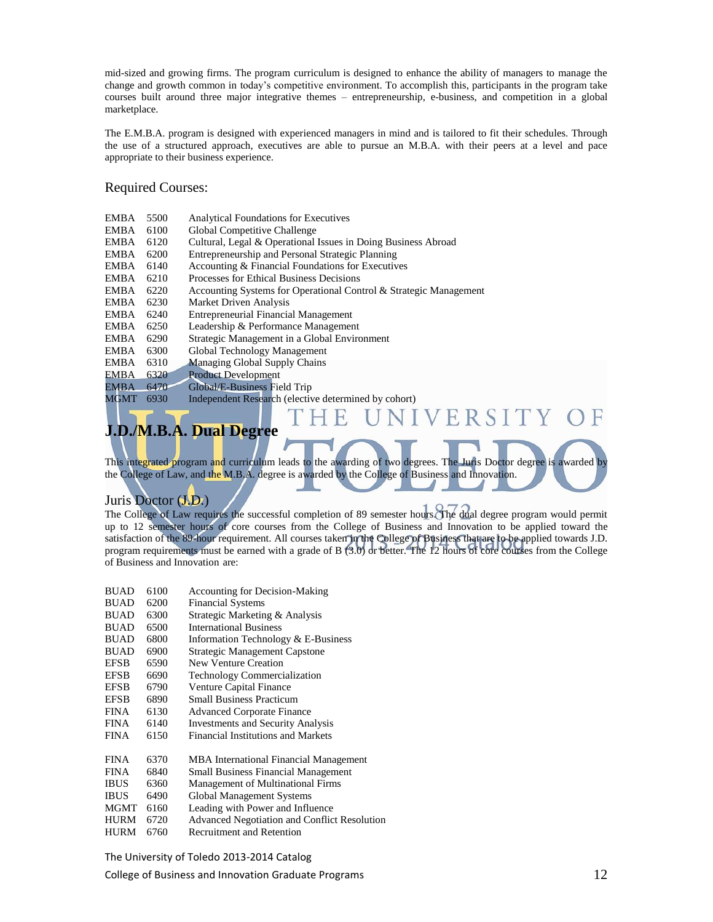mid-sized and growing firms. The program curriculum is designed to enhance the ability of managers to manage the change and growth common in today's competitive environment. To accomplish this, participants in the program take courses built around three major integrative themes – entrepreneurship, e-business, and competition in a global marketplace.

The E.M.B.A. program is designed with experienced managers in mind and is tailored to fit their schedules. Through the use of a structured approach, executives are able to pursue an M.B.A. with their peers at a level and pace appropriate to their business experience.

#### Required Courses:

| EMBA        | 5500 | <b>Analytical Foundations for Executives</b>                      |  |  |  |
|-------------|------|-------------------------------------------------------------------|--|--|--|
| EMBA        | 6100 | Global Competitive Challenge                                      |  |  |  |
| EMBA        | 6120 | Cultural, Legal & Operational Issues in Doing Business Abroad     |  |  |  |
| EMBA        | 6200 | Entrepreneurship and Personal Strategic Planning                  |  |  |  |
| EMBA        | 6140 | Accounting & Financial Foundations for Executives                 |  |  |  |
| EMBA        | 6210 | Processes for Ethical Business Decisions                          |  |  |  |
| EMBA        | 6220 | Accounting Systems for Operational Control & Strategic Management |  |  |  |
| EMBA        | 6230 | Market Driven Analysis                                            |  |  |  |
| EMBA        | 6240 | <b>Entrepreneurial Financial Management</b>                       |  |  |  |
| EMBA        | 6250 | Leadership & Performance Management                               |  |  |  |
| EMBA        | 6290 | Strategic Management in a Global Environment                      |  |  |  |
| EMBA        | 6300 | Global Technology Management                                      |  |  |  |
| EMBA        | 6310 | <b>Managing Global Supply Chains</b>                              |  |  |  |
| EMBA        | 6320 | <b>Product Development</b>                                        |  |  |  |
| <b>EMBA</b> | 6470 | Global/E-Business Field Trip                                      |  |  |  |
| MGMT        | 6930 | Independent Research (elective determined by cohort)              |  |  |  |
|             |      | NIVERSI                                                           |  |  |  |

# **J.D./M.B.A. Dual Degree**

This integrated program and curriculum leads to the awarding of two degrees. The Juris Doctor degree is awarded by the College of Law, and the M.B.A. degree is awarded by the College of Business and Innovation.

### Juris Doctor (J.D.)

The College of Law requires the successful completion of 89 semester hours. The dual degree program would permit up to 12 semester hours of core courses from the College of Business and Innovation to be applied toward the satisfaction of the 89-hour requirement. All courses taken in the College of Business that are to be applied towards J.D. program requirements must be earned with a grade of B (3.0) or better. The 12 hours of core courses from the College of Business and Innovation are:

| <b>BUAD</b> | 6100 | <b>Accounting for Decision-Making</b>               |
|-------------|------|-----------------------------------------------------|
| <b>BUAD</b> | 6200 | <b>Financial Systems</b>                            |
| <b>BUAD</b> | 6300 | Strategic Marketing & Analysis                      |
| <b>BUAD</b> | 6500 | <b>International Business</b>                       |
| <b>BUAD</b> | 6800 | Information Technology & E-Business                 |
| <b>BUAD</b> | 6900 | <b>Strategic Management Capstone</b>                |
| <b>EFSB</b> | 6590 | New Venture Creation                                |
| <b>EFSB</b> | 6690 | <b>Technology Commercialization</b>                 |
| <b>EFSB</b> | 6790 | Venture Capital Finance                             |
| <b>EFSB</b> | 6890 | <b>Small Business Practicum</b>                     |
| <b>FINA</b> | 6130 | <b>Advanced Corporate Finance</b>                   |
| <b>FINA</b> | 6140 | <b>Investments and Security Analysis</b>            |
| <b>FINA</b> | 6150 | Financial Institutions and Markets                  |
| <b>FINA</b> | 6370 | <b>MBA</b> International Financial Management       |
| <b>FINA</b> | 6840 | <b>Small Business Financial Management</b>          |
| <b>IBUS</b> | 6360 | <b>Management of Multinational Firms</b>            |
| <b>IBUS</b> | 6490 | Global Management Systems                           |
| <b>MGMT</b> | 6160 | Leading with Power and Influence                    |
| HURM        | 6720 | <b>Advanced Negotiation and Conflict Resolution</b> |
| <b>HURM</b> | 6760 | <b>Recruitment and Retention</b>                    |

The University of Toledo 2013-2014 Catalog

College of Business and Innovation Graduate Programs 12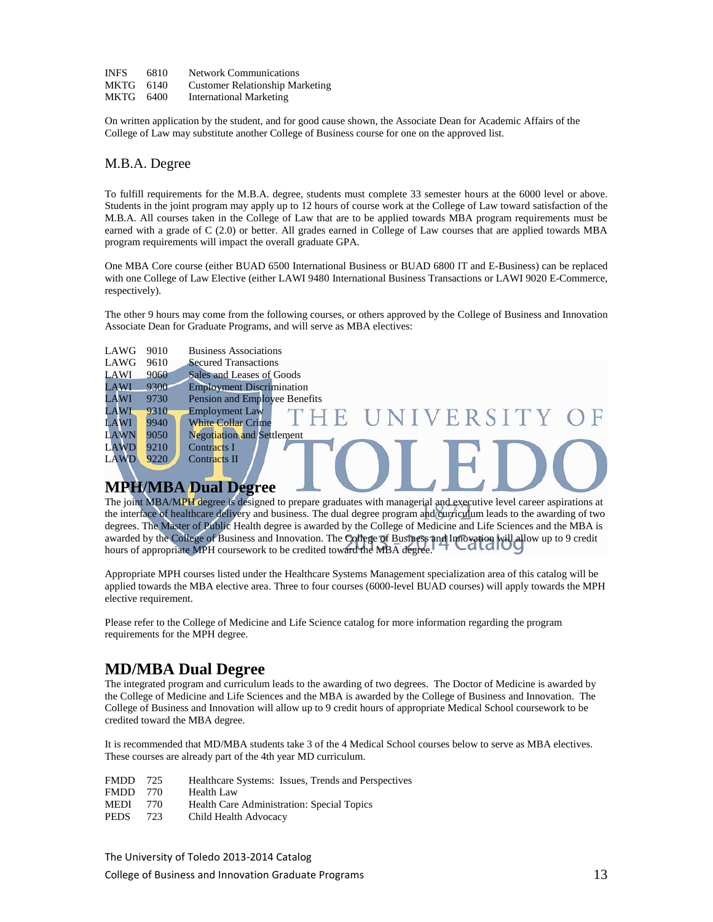| <b>INFS</b> | 6810 | <b>Network Communications</b>          |
|-------------|------|----------------------------------------|
| MKTG 6140   |      | <b>Customer Relationship Marketing</b> |
| MKTG 6400   |      | <b>International Marketing</b>         |

On written application by the student, and for good cause shown, the Associate Dean for Academic Affairs of the College of Law may substitute another College of Business course for one on the approved list.

#### M.B.A. Degree

To fulfill requirements for the M.B.A. degree, students must complete 33 semester hours at the 6000 level or above. Students in the joint program may apply up to 12 hours of course work at the College of Law toward satisfaction of the M.B.A. All courses taken in the College of Law that are to be applied towards MBA program requirements must be earned with a grade of C (2.0) or better. All grades earned in College of Law courses that are applied towards MBA program requirements will impact the overall graduate GPA.

One MBA Core course (either BUAD 6500 International Business or BUAD 6800 IT and E-Business) can be replaced with one College of Law Elective (either LAWI 9480 International Business Transactions or LAWI 9020 E-Commerce, respectively).

The other 9 hours may come from the following courses, or others approved by the College of Business and Innovation Associate Dean for Graduate Programs, and will serve as MBA electives:

| LAWG        | 9010 | <b>Business Associations</b>                   |  |  |  |  |
|-------------|------|------------------------------------------------|--|--|--|--|
| LAWG        | 9610 | <b>Secured Transactions</b>                    |  |  |  |  |
| LAWI        | 9060 | Sales and Leases of Goods                      |  |  |  |  |
| LAWI        | 9300 | <b>Employment Discrimination</b>               |  |  |  |  |
| LAWI        | 9730 | Pension and Employee Benefits                  |  |  |  |  |
| LAWI        | 9310 | <b>Employment Law</b><br>UNIVERSITY OF<br>H F. |  |  |  |  |
| LAWI        | 9940 | <b>White Collar Crime</b>                      |  |  |  |  |
| LAWN        | 9050 | <b>Negotiation and Settlement</b>              |  |  |  |  |
| <b>LAWD</b> | 9210 | Contracts I                                    |  |  |  |  |
| <b>LAWD</b> | 9220 | <b>Contracts II</b>                            |  |  |  |  |
|             |      |                                                |  |  |  |  |

### **MPH/MBA Dual Degree**

The joint MBA/MPH degree is designed to prepare graduates with managerial and executive level career aspirations at the interface of healthcare delivery and business. The dual degree program and curriculum leads to the awarding of two degrees. The Master of Public Health degree is awarded by the College of Medicine and Life Sciences and the MBA is awarded by the College of Business and Innovation. The College of Business and Innovation will allow up to 9 credit hours of appropriate MPH coursework to be credited toward the MBA degree.

 $\overline{\phantom{a}}$ 

Appropriate MPH courses listed under the Healthcare Systems Management specialization area of this catalog will be applied towards the MBA elective area. Three to four courses (6000-level BUAD courses) will apply towards the MPH elective requirement.

Please refer to the College of Medicine and Life Science catalog for more information regarding the program requirements for the MPH degree.

## **MD/MBA Dual Degree**

The integrated program and curriculum leads to the awarding of two degrees. The Doctor of Medicine is awarded by the College of Medicine and Life Sciences and the MBA is awarded by the College of Business and Innovation. The College of Business and Innovation will allow up to 9 credit hours of appropriate Medical School coursework to be credited toward the MBA degree.

It is recommended that MD/MBA students take 3 of the 4 Medical School courses below to serve as MBA electives. These courses are already part of the 4th year MD curriculum.

- FMDD 725 Healthcare Systems: Issues, Trends and Perspectives
- FMDD 770 Health Law
- MEDI 770 Health Care Administration: Special Topics
- PEDS 723 Child Health Advocacy

The University of Toledo 2013-2014 Catalog

College of Business and Innovation Graduate Programs 13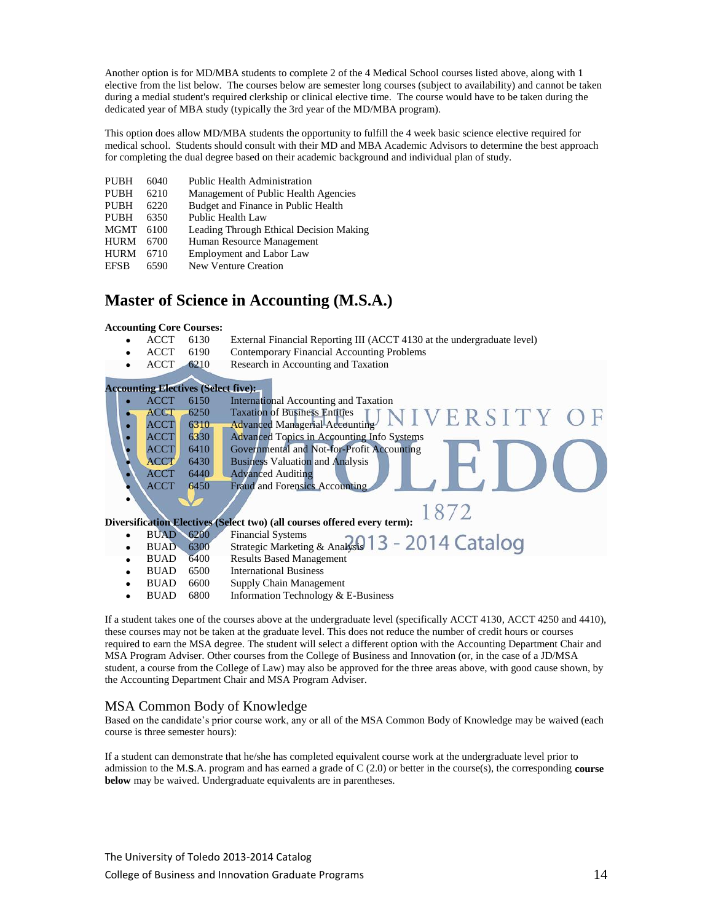Another option is for MD/MBA students to complete 2 of the 4 Medical School courses listed above, along with 1 elective from the list below. The courses below are semester long courses (subject to availability) and cannot be taken during a medial student's required clerkship or clinical elective time. The course would have to be taken during the dedicated year of MBA study (typically the 3rd year of the MD/MBA program).

This option does allow MD/MBA students the opportunity to fulfill the 4 week basic science elective required for medical school. Students should consult with their MD and MBA Academic Advisors to determine the best approach for completing the dual degree based on their academic background and individual plan of study.

| Management of Public Health Agencies    |
|-----------------------------------------|
|                                         |
|                                         |
| Leading Through Ethical Decision Making |
|                                         |
|                                         |
|                                         |
|                                         |

### **Master of Science in Accounting (M.S.A.)**

#### **Accounting Core Courses:**

- ACCT 6130 External Financial Reporting III (ACCT 4130 at the undergraduate level)
- ACCT 6190 Contemporary Financial Accounting Problems
- ACCT 6210 Research in Accounting and Taxation

|           |             |      | <b>Accounting Electives (Select five):</b>                               |
|-----------|-------------|------|--------------------------------------------------------------------------|
|           | ACCT        | 6150 | International Accounting and Taxation                                    |
|           | <b>ACCT</b> | 6250 | <b>Taxation of Business Entities</b><br>NIVERSITY OF                     |
|           | <b>ACCT</b> | 6310 | <b>Advanced Managerial Accounting</b>                                    |
|           | <b>ACCT</b> | 6330 | <b>Advanced Topics in Accounting Info Systems</b>                        |
|           | <b>ACCT</b> | 6410 | Governmental and Not-for-Profit Accounting                               |
|           | <b>ACCT</b> | 6430 | <b>Business Valuation and Analysis</b>                                   |
|           | <b>ACCT</b> | 6440 | <b>Advanced Auditing</b>                                                 |
|           | <b>ACCT</b> | 6450 | <b>Fraud and Forensics Accounting</b>                                    |
|           |             |      |                                                                          |
|           |             |      | 1872                                                                     |
|           |             |      | Diversification Electives (Select two) (all courses offered every term): |
| $\bullet$ | <b>BUAD</b> | 6200 | <b>Financial Systems</b>                                                 |
| ٠         | <b>BUAD</b> | 6300 | Financial Systems<br>Strategic Marketing & Analysts 13 - 2014 Catalog    |
| ٠         | <b>BUAD</b> | 6400 | <b>Results Based Management</b>                                          |
|           | <b>BUAD</b> | 6500 | <b>International Business</b>                                            |
|           | <b>BUAD</b> | 6600 | Supply Chain Management                                                  |

• BUAD 6800 Information Technology & E-Business

If a student takes one of the courses above at the undergraduate level (specifically ACCT 4130, ACCT 4250 and 4410), these courses may not be taken at the graduate level. This does not reduce the number of credit hours or courses required to earn the MSA degree. The student will select a different option with the Accounting Department Chair and MSA Program Adviser. Other courses from the College of Business and Innovation (or, in the case of a JD/MSA student, a course from the College of Law) may also be approved for the three areas above, with good cause shown, by the Accounting Department Chair and MSA Program Adviser.

#### MSA Common Body of Knowledge

Based on the candidate's prior course work, any or all of the MSA Common Body of Knowledge may be waived (each course is three semester hours):

If a student can demonstrate that he/she has completed equivalent course work at the undergraduate level prior to admission to the M.S.A. program and has earned a grade of  $C(2.0)$  or better in the course(s), the corresponding **course below** may be waived. Undergraduate equivalents are in parentheses.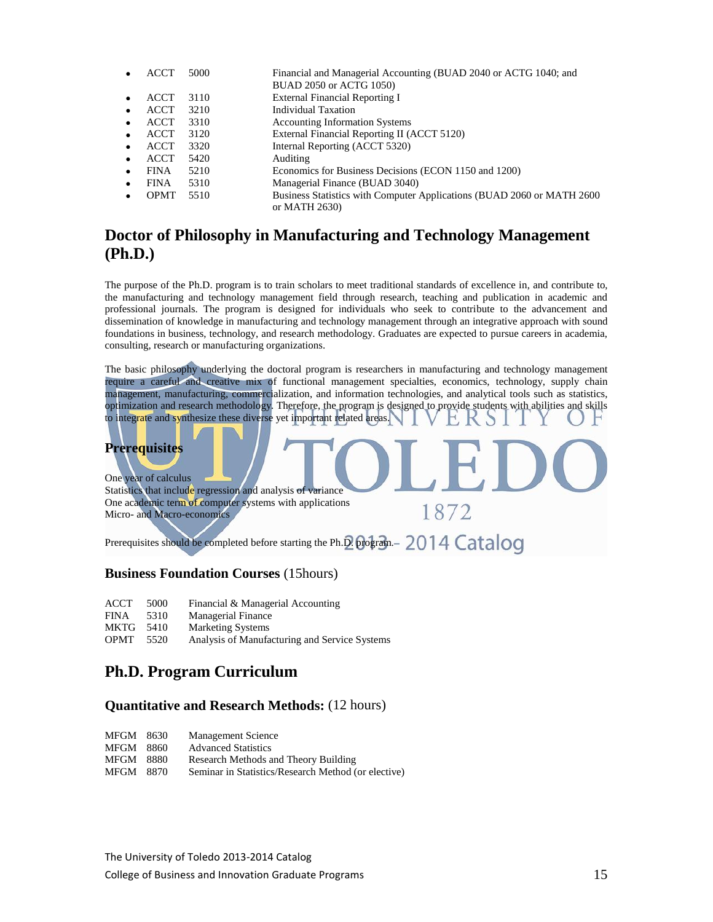| ACCT        | 5000 | Financial and Managerial Accounting (BUAD 2040 or ACTG 1040; and       |
|-------------|------|------------------------------------------------------------------------|
|             |      | BUAD 2050 or ACTG 1050)                                                |
| <b>ACCT</b> | 3110 | <b>External Financial Reporting I</b>                                  |
| <b>ACCT</b> | 3210 | Individual Taxation                                                    |
| <b>ACCT</b> | 3310 | <b>Accounting Information Systems</b>                                  |
| <b>ACCT</b> | 3120 | External Financial Reporting II (ACCT 5120)                            |
| ACCT        | 3320 | Internal Reporting (ACCT 5320)                                         |
| <b>ACCT</b> | 5420 | Auditing                                                               |
| <b>FINA</b> | 5210 | Economics for Business Decisions (ECON 1150 and 1200)                  |
| <b>FINA</b> | 5310 | Managerial Finance (BUAD 3040)                                         |
| <b>OPMT</b> | 5510 | Business Statistics with Computer Applications (BUAD 2060 or MATH 2600 |
|             |      | or MATH 2630)                                                          |

## **Doctor of Philosophy in Manufacturing and Technology Management (Ph.D.)**

The purpose of the Ph.D. program is to train scholars to meet traditional standards of excellence in, and contribute to, the manufacturing and technology management field through research, teaching and publication in academic and professional journals. The program is designed for individuals who seek to contribute to the advancement and dissemination of knowledge in manufacturing and technology management through an integrative approach with sound foundations in business, technology, and research methodology. Graduates are expected to pursue careers in academia, consulting, research or manufacturing organizations.

The basic philosophy underlying the doctoral program is researchers in manufacturing and technology management require a careful and creative mix of functional management specialties, economics, technology, supply chain management, manufacturing, commercialization, and information technologies, and analytical tools such as statistics, optimization and research methodology. Therefore, the program is designed to provide students with abilities and skills to integrate and synthesize these diverse yet important related areas.

1872

## **Prerequisites**

One year of calculus Statistics that include regression and analysis of variance One academic term of computer systems with applications Micro- and Macro-economics

Prerequisites should be completed before starting the Ph.D. program.- 2014 Catalog

### **Business Foundation Courses** (15hours)

- ACCT 5000 Financial & Managerial Accounting
- FINA 5310 Managerial Finance
- MKTG 5410 Marketing Systems
- OPMT 5520 Analysis of Manufacturing and Service Systems

## **Ph.D. Program Curriculum**

#### **Quantitative and Research Methods:** (12 hours)

| <b>MFGM</b> | 8630 | <b>Management Science</b> |
|-------------|------|---------------------------|
|-------------|------|---------------------------|

MFGM 8860 Advanced Statistics

| MFGM 8880 |  |  | Research Methods and Theory Building |
|-----------|--|--|--------------------------------------|
|           |  |  |                                      |

MFGM 8870 Seminar in Statistics/Research Method (or elective)